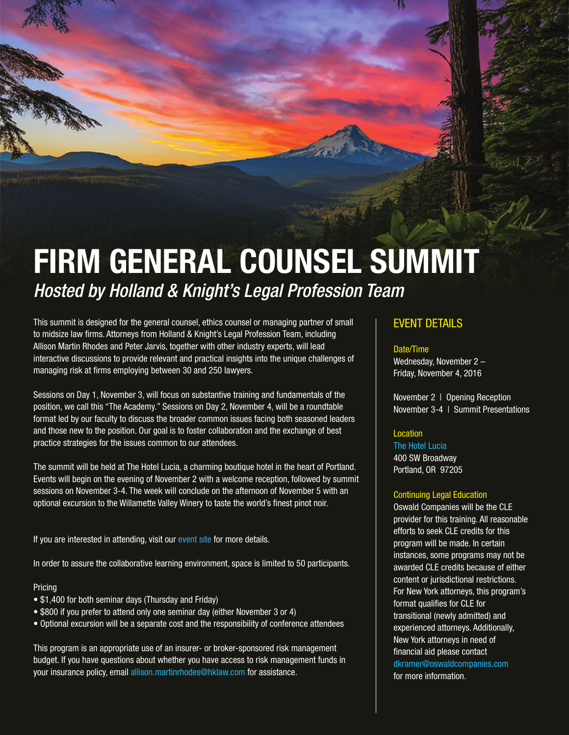# FIRM GENERAL COUNSEL SUMMIT *Hosted by Holland & Knight's Legal Profession Team*

This summit is designed for the general counsel, ethics counsel or managing partner of small to midsize law firms. Attorneys from Holland & Knight's Legal Profession Team, including Allison Martin Rhodes and Peter Jarvis, together with other industry experts, will lead interactive discussions to provide relevant and practical insights into the unique challenges of managing risk at firms employing between 30 and 250 lawyers.

Sessions on Day 1, November 3, will focus on substantive training and fundamentals of the position, we call this "The Academy." Sessions on Day 2, November 4, will be a roundtable format led by our faculty to discuss the broader common issues facing both seasoned leaders and those new to the position. Our goal is to foster collaboration and the exchange of best practice strategies for the issues common to our attendees.

The summit will be held at The Hotel Lucia, a charming boutique hotel in the heart of Portland. Events will begin on the evening of November 2 with a welcome reception, followed by summit sessions on November 3-4. The week will conclude on the afternoon of November 5 with an optional excursion to the Willamette Valley Winery to taste the world's finest pinot noir.

If you are interested in attending, visit our [event site](http://www.cvent.com/events/firm-general-counsel-summit/event-summary-5023516660fb468ea1b792514e309d71.aspx) for more details.

In order to assure the collaborative learning environment, space is limited to 50 participants.

#### Pricing

- \$1,400 for both seminar days (Thursday and Friday)
- \$800 if you prefer to attend only one seminar day (either November 3 or 4)
- Optional excursion will be a separate cost and the responsibility of conference attendees

This program is an appropriate use of an insurer- or broker-sponsored risk management budget. If you have questions about whether you have access to risk management funds in your insurance policy, email [allison.martinrhodes@hklaw.com](mailto:allison.martinrhodes%40hklaw.com?subject=Question%20About%20Access%20to%20Risk%20Management%20Funds) for assistance.

### EVENT DETAILS

#### Date/Time

Wednesday, November 2 – Friday, November 4, 2016

November 2 | Opening Reception November 3-4 | Summit Presentations

#### Location

[The Hotel Lucia](http://hotellucia.com/) 400 SW Broadway Portland, OR 97205

#### Continuing Legal Education

Oswald Companies will be the CLE provider for this training. All reasonable efforts to seek CLE credits for this program will be made. In certain instances, some programs may not be awarded CLE credits because of either content or jurisdictional restrictions. For New York attorneys, this program's format qualifies for CLE for transitional (newly admitted) and experienced attorneys. Additionally, New York attorneys in need of financial aid please contact [dkramer@oswaldcompanies.com](mailto:dkramer%40oswaldcompanies.com?subject=) for more information.